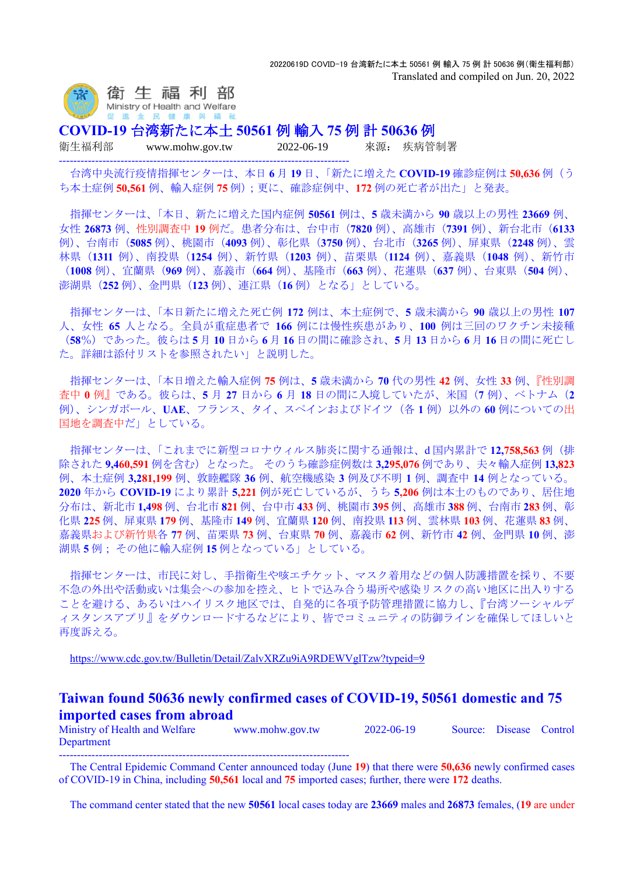

**COVID-19** 台湾新たに本土 **50561** 例 輸入 **75** 例 計 **50636** 例

--------------------------------------------------------------------------------

衛生福利部 www.mohw.gov.tw 2022-06-19 來源: 疾病管制署

台湾中央流行疫情指揮センターは、本日 **6** 月 **19** 日、「新たに増えた **COVID-19** 確診症例は **50,636** 例(う ち本土症例 **50,561** 例、輸入症例 **75** 例);更に、確診症例中、**172** 例の死亡者が出た」と発表。

指揮センターは、「本日、新たに増えた国内症例 **50561** 例は、**5** 歳未満から **90** 歳以上の男性 **23669** 例、 女性 **26873** 例、性別調査中 **19** 例だ。患者分布は、台中市(**7820** 例)、高雄市(**7391** 例)、新台北市(**6133** 例)、台南市(**5085** 例)、桃園市(**4093** 例)、彰化県(**3750** 例)、台北市(**3265** 例)、屏東県(**2248** 例)、雲 林県(**1311** 例)、南投県(**1254** 例)、新竹県(**1203** 例)、苗栗県(**1124** 例)、嘉義県(**1048** 例)、新竹市 (**1008** 例)、宜蘭県(**969** 例)、嘉義市(**664** 例)、基隆市(**663** 例)、花蓮県(**637** 例)、台東県(**504** 例)、 澎湖県(**252** 例)、金門県(**123** 例)、連江県(**16** 例)となる」としている。

指揮センターは、「本日新たに増えた死亡例 **172** 例は、本土症例で、**5** 歳未満から **90** 歳以上の男性 **107** 人、女性 **65** 人となる。全員が重症患者で **166** 例には慢性疾患があり、**100** 例は三回のワクチン未接種 (**58**%)であった。彼らは **5** 月 **10** 日から **6** 月 **16** 日の間に確診され、**5** 月 **13** 日から **6** 月 **16** 日の間に死亡し た。詳細は添付リストを参照されたい」と説明した。

指揮センターは、「本日増えた輸入症例 **75** 例は、**5** 歳未満から **70** 代の男性 **42** 例、女性 **33** 例、『性別調 査中 **0** 例』である。彼らは、**5** 月 **27** 日から **6** 月 **18** 日の間に入境していたが、米国(**7** 例)、ベトナム(**2** 例)、シンガポール、**UAE**、フランス、タイ、スペインおよびドイツ(各 **1** 例)以外の **60** 例についての出 国地を調査中だ」としている。

指揮センターは、「これまでに新型コロナウィルス肺炎に関する通報は、d 国内累計で **12,758,563** 例(排 除された **9,460,591** 例を含む)となった。 そのうち確診症例数は **3,295,076** 例であり、夫々輸入症例 **13,823** 例、本土症例 **3,281,199** 例、敦睦艦隊 **36** 例、航空機感染 **3** 例及び不明 **1** 例、調査中 **14** 例となっている。 **2020** 年から **COVID-19** により累計 **5,221** 例が死亡しているが、うち **5,206** 例は本土のものであり、居住地 分布は、新北市 **1,498** 例、台北市 **821** 例、台中市 **433** 例、桃園市 **395** 例、高雄市 **388** 例、台南市 **283** 例、彰 化県 **225** 例、屏東県 **179** 例、基隆市 **149** 例、宜蘭県 **120** 例、南投県 **113** 例、雲林県 **103** 例、花蓮県 **83** 例、 嘉義県および新竹県各 **77** 例、苗栗県 **73** 例、台東県 **70** 例、嘉義市 **62** 例、新竹市 **42** 例、金門県 **10** 例、澎 湖県 **5** 例; その他に輸入症例 **15** 例となっている」としている。

指揮センターは、市民に対し、手指衛生や咳エチケット、マスク着用などの個人防護措置を採り、不要 不急の外出や活動或いは集会への参加を控え、ヒトで込み合う場所や感染リスクの高い地区に出入りする ことを避ける、あるいはハイリスク地区では、自発的に各項予防管理措置に協力し、『台湾ソーシャルデ ィスタンスアプリ』をダウンロードするなどにより、皆でコミュニティの防御ラインを確保してほしいと 再度訴える。

<https://www.cdc.gov.tw/Bulletin/Detail/ZalvXRZu9iA9RDEWVglTzw?typeid=9>

## **Taiwan found 50636 newly confirmed cases of COVID-19, 50561 domestic and 75 imported cases from abroad**

Ministry of Health and Welfare www.mohw.gov.tw 2022-06-19 Source: Disease Control Department --------------------------------------------------------------------------------

The Central Epidemic Command Center announced today (June **19**) that there were **50,636** newly confirmed cases of COVID-19 in China, including **50,561** local and **75** imported cases; further, there were **172** deaths.

The command center stated that the new **50561** local cases today are **23669** males and **26873** females, (**19** are under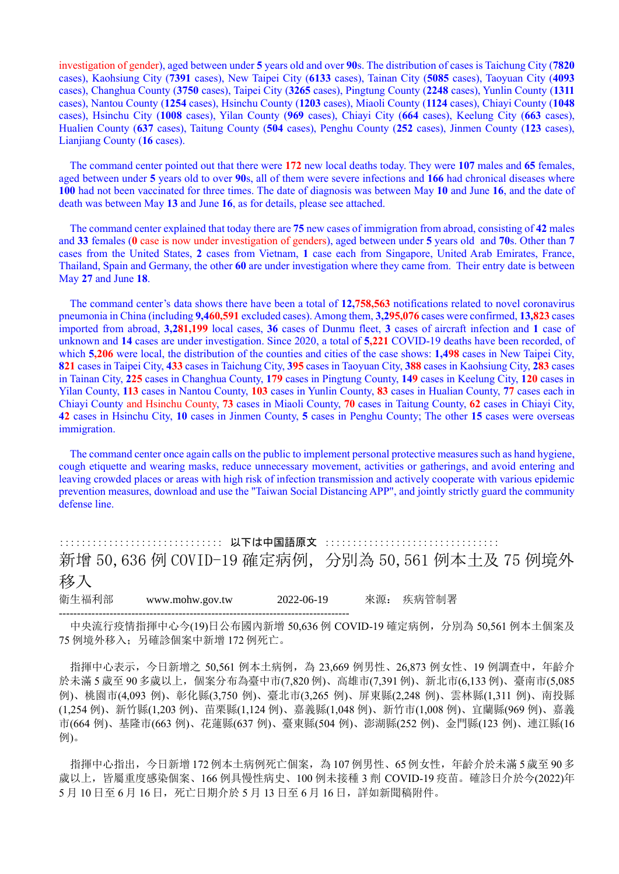investigation of gender), aged between under **5** years old and over **90**s. The distribution of cases is Taichung City (**7820** cases), Kaohsiung City (**7391** cases), New Taipei City (**6133** cases), Tainan City (**5085** cases), Taoyuan City (**4093** cases), Changhua County (**3750** cases), Taipei City (**3265** cases), Pingtung County (**2248** cases), Yunlin County (**1311** cases), Nantou County (**1254** cases), Hsinchu County (**1203** cases), Miaoli County (**1124** cases), Chiayi County (**1048** cases), Hsinchu City (**1008** cases), Yilan County (**969** cases), Chiayi City (**664** cases), Keelung City (**663** cases), Hualien County (**637** cases), Taitung County (**504** cases), Penghu County (**252** cases), Jinmen County (**123** cases), Lianjiang County (**16** cases).

The command center pointed out that there were **172** new local deaths today. They were **107** males and **65** females, aged between under **5** years old to over **90**s, all of them were severe infections and **166** had chronical diseases where **100** had not been vaccinated for three times. The date of diagnosis was between May **10** and June **16**, and the date of death was between May **13** and June **16**, as for details, please see attached.

The command center explained that today there are **75** new cases of immigration from abroad, consisting of **42** males and **33** females (**0** case is now under investigation of genders), aged between under **5** years old and **70**s. Other than **7** cases from the United States, **2** cases from Vietnam, **1** case each from Singapore, United Arab Emirates, France, Thailand, Spain and Germany, the other **60** are under investigation where they came from. Their entry date is between May **27** and June **18**.

The command center's data shows there have been a total of **12,758,563** notifications related to novel coronavirus pneumonia in China (including **9,460,591** excluded cases). Among them, **3,295,076** cases were confirmed, **13,823** cases imported from abroad, **3,281,199** local cases, **36** cases of Dunmu fleet, **3** cases of aircraft infection and **1** case of unknown and **14** cases are under investigation. Since 2020, a total of **5,221** COVID-19 deaths have been recorded, of which **5,206** were local, the distribution of the counties and cities of the case shows: **1,498** cases in New Taipei City, **821** cases in Taipei City, **433** cases in Taichung City, **395** cases in Taoyuan City, **388** cases in Kaohsiung City, **283** cases in Tainan City, **225** cases in Changhua County, **179** cases in Pingtung County, **149** cases in Keelung City, **120** cases in Yilan County, **113** cases in Nantou County, **103** cases in Yunlin County, **83** cases in Hualian County, **77** cases each in Chiayi County and Hsinchu County, **73** cases in Miaoli County, **70** cases in Taitung County, **62** cases in Chiayi City, **42** cases in Hsinchu City, **10** cases in Jinmen County, **5** cases in Penghu County; The other **15** cases were overseas immigration.

The command center once again calls on the public to implement personal protective measures such as hand hygiene, cough etiquette and wearing masks, reduce unnecessary movement, activities or gatherings, and avoid entering and leaving crowded places or areas with high risk of infection transmission and actively cooperate with various epidemic prevention measures, download and use the "Taiwan Social Distancing APP", and jointly strictly guard the community defense line.

:::::::::::::::::::::::::::::: 以下は中国語原文 :::::::::::::::::::::::::::::::: 新增 50,636 例 COVID-19 確定病例,分別為 50,561 例本土及 75 例境外 移入 衛生福利部 www.mohw.gov.tw 2022-06-19 來源: 疾病管制署

--------------------------------------------------------------------------------

中央流行疫情指揮中心今(19)日公布國內新增 50,636 例 COVID-19 確定病例,分別為 50,561 例本土個案及 75 例境外移入;另確診個案中新增 172 例死亡。

指揮中心表示,今日新增之 50,561 例本土病例,為 23,669 例男性、26,873 例女性、19 例調查中,年齡介 於未滿 5 歲至 90 多歲以上,個案分布為臺中市(7,820 例)、高雄市(7,391 例)、新北市(6,133 例)、臺南市(5,085 例)、桃園市(4,093 例)、彰化縣(3,750 例)、臺北市(3,265 例)、屏東縣(2,248 例)、雲林縣(1,311 例)、南投縣 (1,254 例)、新竹縣(1,203 例)、苗栗縣(1,124 例)、嘉義縣(1,048 例)、新竹市(1,008 例)、宜蘭縣(969 例)、嘉義 市(664 例)、基隆市(663 例)、花蓮縣(637 例)、臺東縣(504 例)、澎湖縣(252 例)、金門縣(123 例)、連江縣(16 例)。

指揮中心指出,今日新增 172 例本土病例死亡個案,為 107 例男性、65例女性,年齡介於未滿 5歲至 90多 歲以上,皆屬重度感染個案、166 例具慢性病史、100 例未接種 3 劑 COVID-19 疫苗。確診日介於今(2022)年  $5$  月 10 日至 6 月 16 日, 死亡日期介於 5 月 13 日至 6 月 16 日, 詳如新聞稿附件。